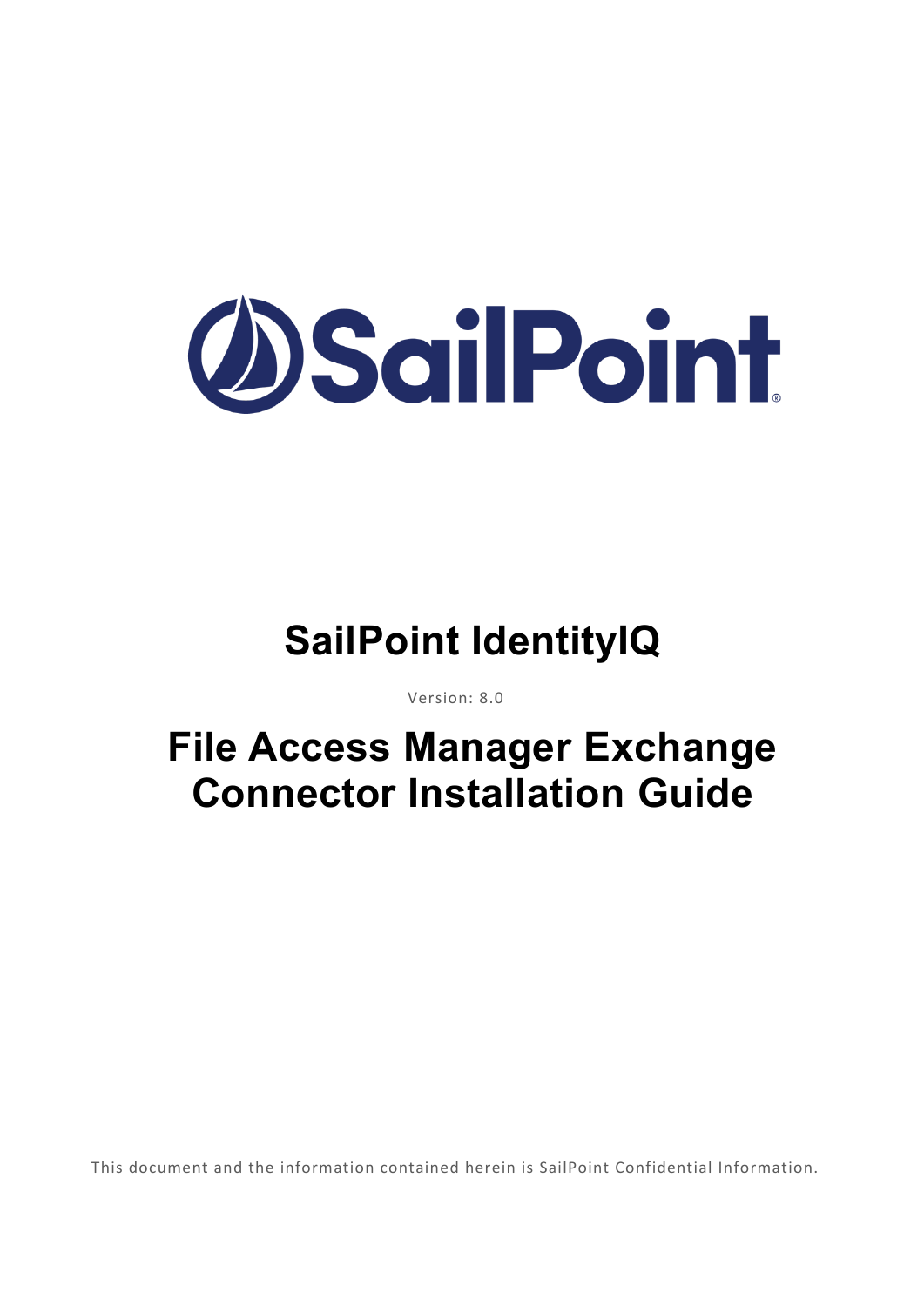

## **SailPoint IdentityIQ**

Version: 8.0

## **File Access Manager Exchange Connector Installation Guide**

This document and the information contained herein is SailPoint Confidential Information.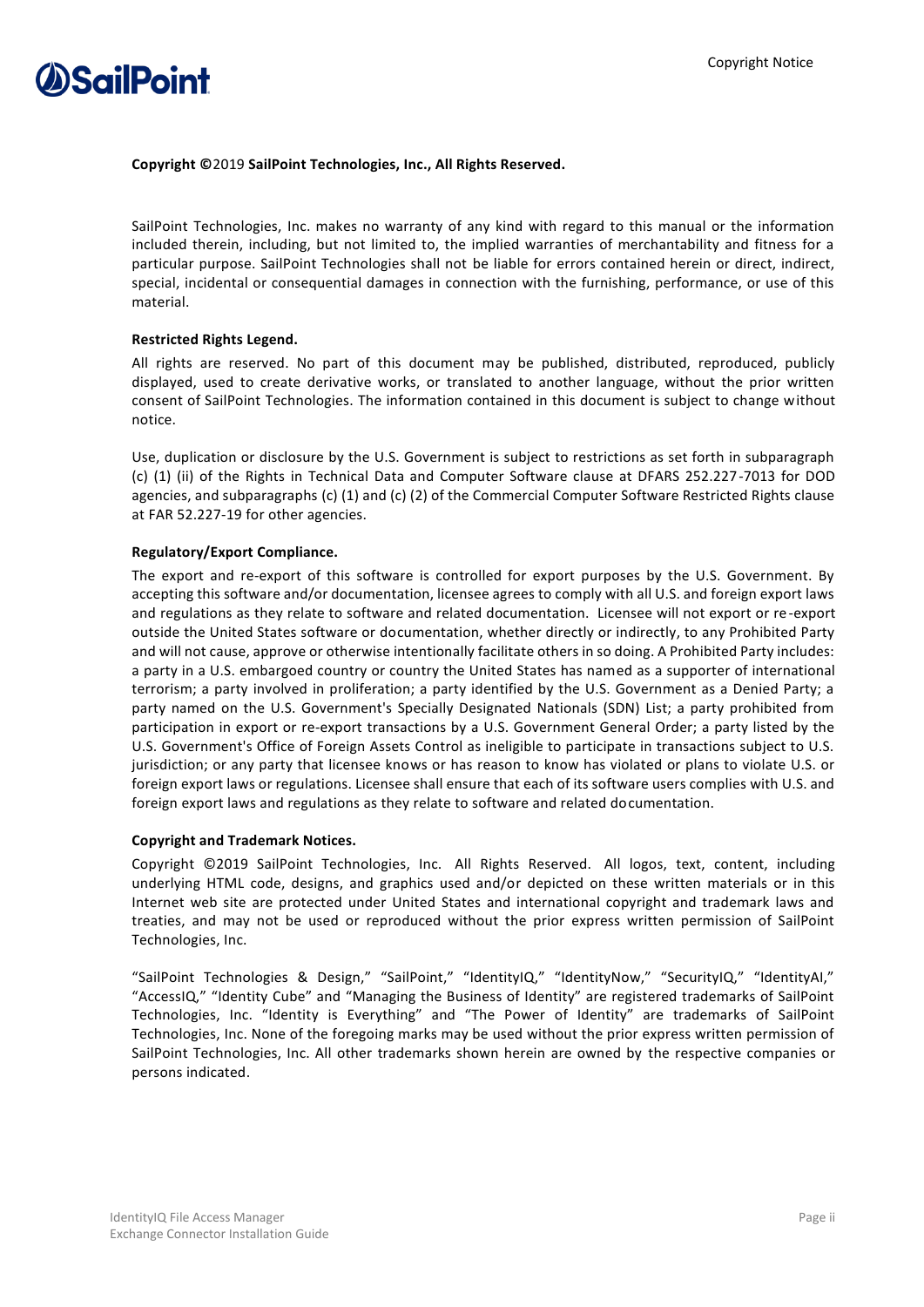

#### **Copyright ©**2019 **SailPoint Technologies, Inc., All Rights Reserved.**

SailPoint Technologies, Inc. makes no warranty of any kind with regard to this manual or the information included therein, including, but not limited to, the implied warranties of merchantability and fitness for a particular purpose. SailPoint Technologies shall not be liable for errors contained herein or direct, indirect, special, incidental or consequential damages in connection with the furnishing, performance, or use of this material.

#### **Restricted Rights Legend.**

All rights are reserved. No part of this document may be published, distributed, reproduced, publicly displayed, used to create derivative works, or translated to another language, without the prior written consent of SailPoint Technologies. The information contained in this document is subject to change without notice.

Use, duplication or disclosure by the U.S. Government is subject to restrictions as set forth in subparagraph (c) (1) (ii) of the Rights in Technical Data and Computer Software clause at DFARS 252.227-7013 for DOD agencies, and subparagraphs (c) (1) and (c) (2) of the Commercial Computer Software Restricted Rights clause at FAR 52.227-19 for other agencies.

#### **Regulatory/Export Compliance.**

The export and re-export of this software is controlled for export purposes by the U.S. Government. By accepting this software and/or documentation, licensee agrees to comply with all U.S. and foreign export laws and regulations as they relate to software and related documentation. Licensee will not export or re-export outside the United States software or documentation, whether directly or indirectly, to any Prohibited Party and will not cause, approve or otherwise intentionally facilitate others in so doing. A Prohibited Party includes: a party in a U.S. embargoed country or country the United States has named as a supporter of international terrorism; a party involved in proliferation; a party identified by the U.S. Government as a Denied Party; a party named on the U.S. Government's Specially Designated Nationals (SDN) List; a party prohibited from participation in export or re-export transactions by a U.S. Government General Order; a party listed by the U.S. Government's Office of Foreign Assets Control as ineligible to participate in transactions subject to U.S. jurisdiction; or any party that licensee knows or has reason to know has violated or plans to violate U.S. or foreign export laws or regulations. Licensee shall ensure that each of its software users complies with U.S. and foreign export laws and regulations as they relate to software and related documentation.

#### **Copyright and Trademark Notices.**

Copyright ©2019 SailPoint Technologies, Inc. All Rights Reserved. All logos, text, content, including underlying HTML code, designs, and graphics used and/or depicted on these written materials or in this Internet web site are protected under United States and international copyright and trademark laws and treaties, and may not be used or reproduced without the prior express written permission of SailPoint Technologies, Inc.

"SailPoint Technologies & Design," "SailPoint," "IdentityIQ," "IdentityNow," "SecurityIQ," "IdentityAI," "AccessIQ," "Identity Cube" and "Managing the Business of Identity" are registered trademarks of SailPoint Technologies, Inc. "Identity is Everything" and "The Power of Identity" are trademarks of SailPoint Technologies, Inc. None of the foregoing marks may be used without the prior express written permission of SailPoint Technologies, Inc. All other trademarks shown herein are owned by the respective companies or persons indicated.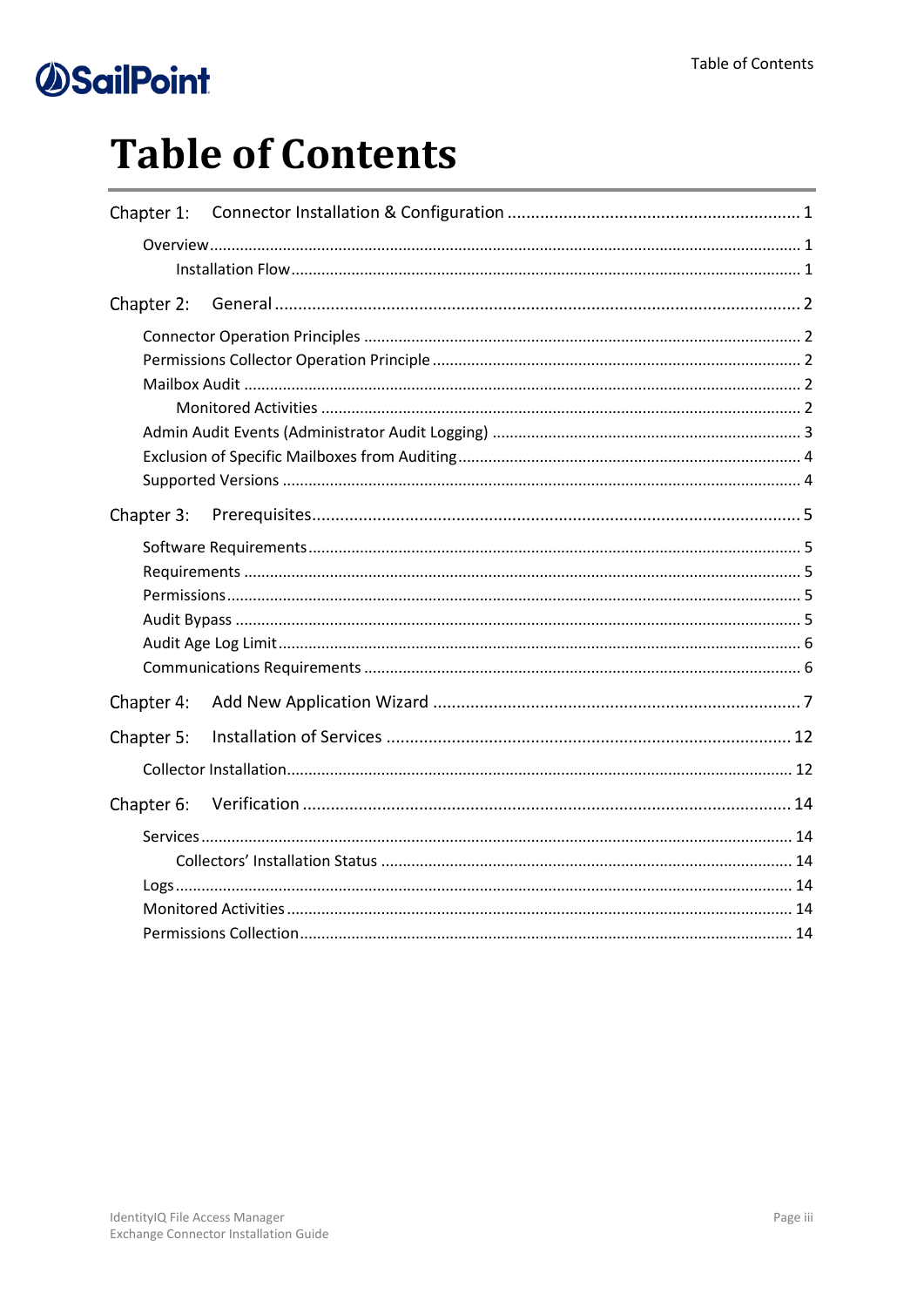# **Table of Contents**

| Chapter 3: |  |
|------------|--|
|            |  |
| Chapter 4: |  |
| Chapter 5: |  |
|            |  |
| Chapter 6: |  |
|            |  |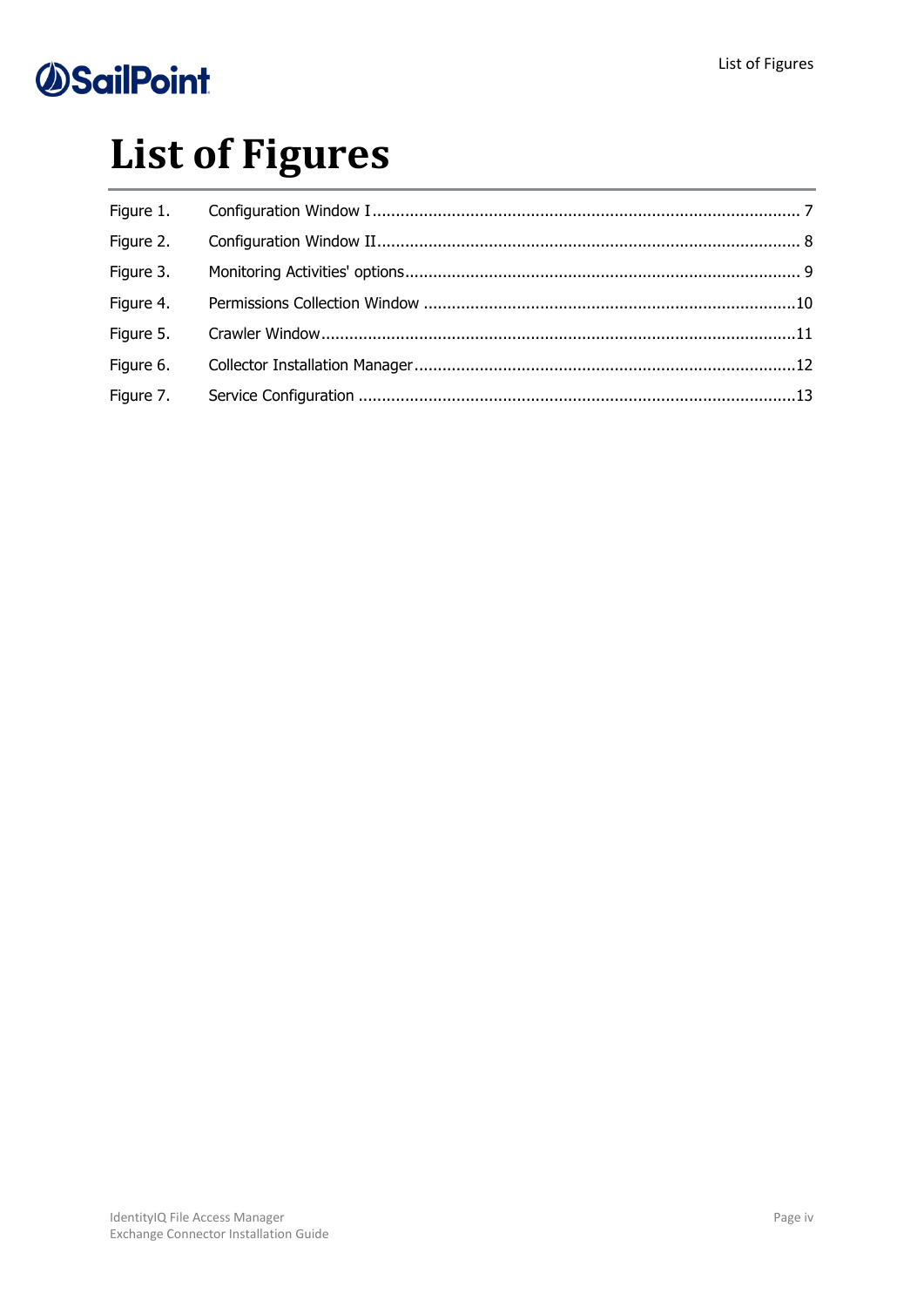# **List of Figures**

| Figure 1. |  |
|-----------|--|
| Figure 2. |  |
| Figure 3. |  |
| Figure 4. |  |
| Figure 5. |  |
| Figure 6. |  |
| Figure 7. |  |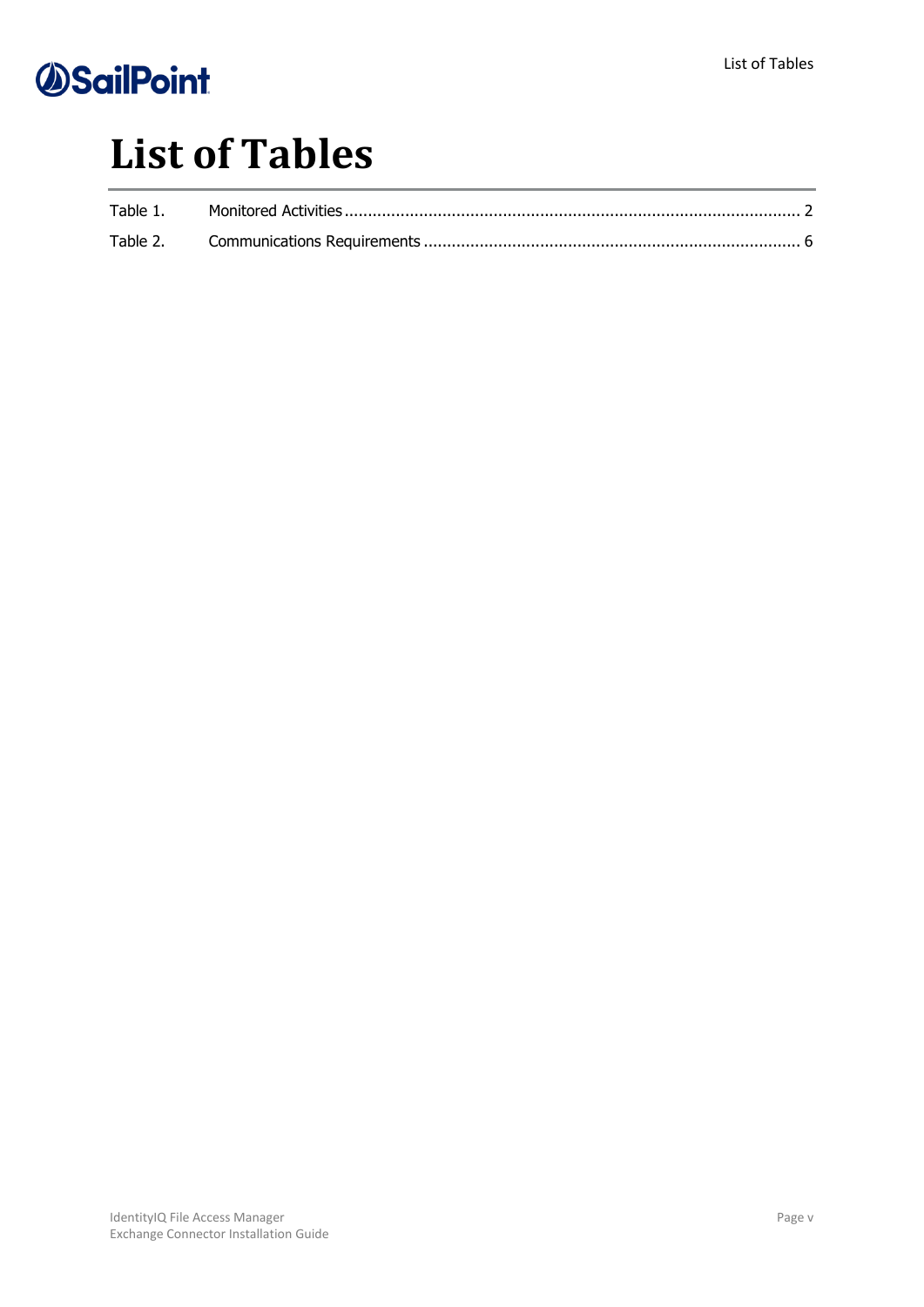## **List of Tables**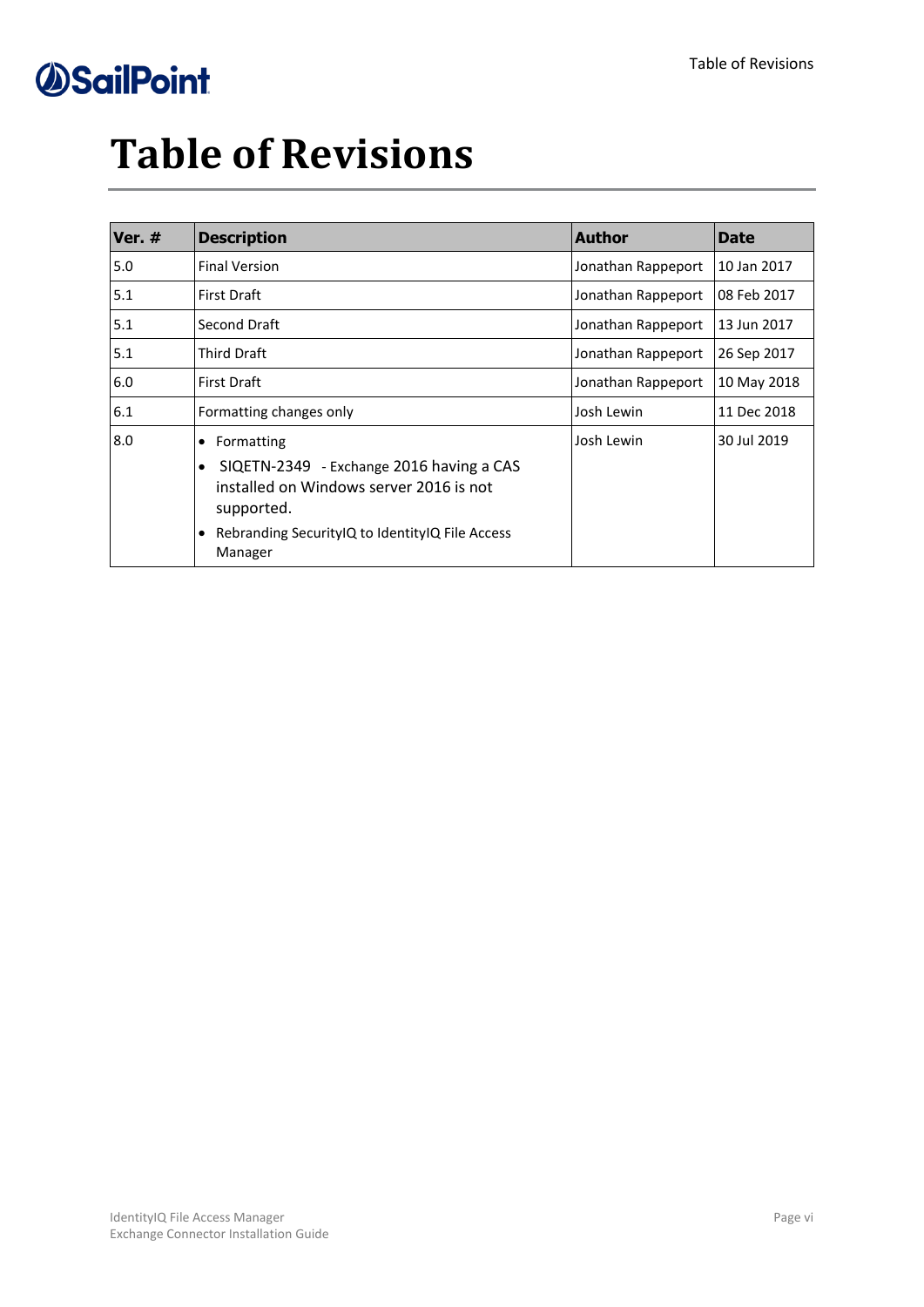# **Table of Revisions**

| Ver. # | <b>Description</b>                                                                                                                        | <b>Author</b>      | <b>Date</b> |
|--------|-------------------------------------------------------------------------------------------------------------------------------------------|--------------------|-------------|
| 5.0    | <b>Final Version</b>                                                                                                                      | Jonathan Rappeport | 10 Jan 2017 |
| 5.1    | <b>First Draft</b>                                                                                                                        | Jonathan Rappeport | 08 Feb 2017 |
| 5.1    | Second Draft                                                                                                                              | Jonathan Rappeport | 13 Jun 2017 |
| 5.1    | <b>Third Draft</b>                                                                                                                        | Jonathan Rappeport | 26 Sep 2017 |
| 6.0    | <b>First Draft</b>                                                                                                                        | Jonathan Rappeport | 10 May 2018 |
| 6.1    | Formatting changes only                                                                                                                   | Josh Lewin         | 11 Dec 2018 |
| 8.0    | Formatting<br>$\bullet$<br>SIQETN-2349 - Exchange 2016 having a CAS<br>$\bullet$<br>installed on Windows server 2016 is not<br>supported. | Josh Lewin         | 30 Jul 2019 |
|        | Rebranding Security IQ to Identity IQ File Access<br>$\bullet$<br>Manager                                                                 |                    |             |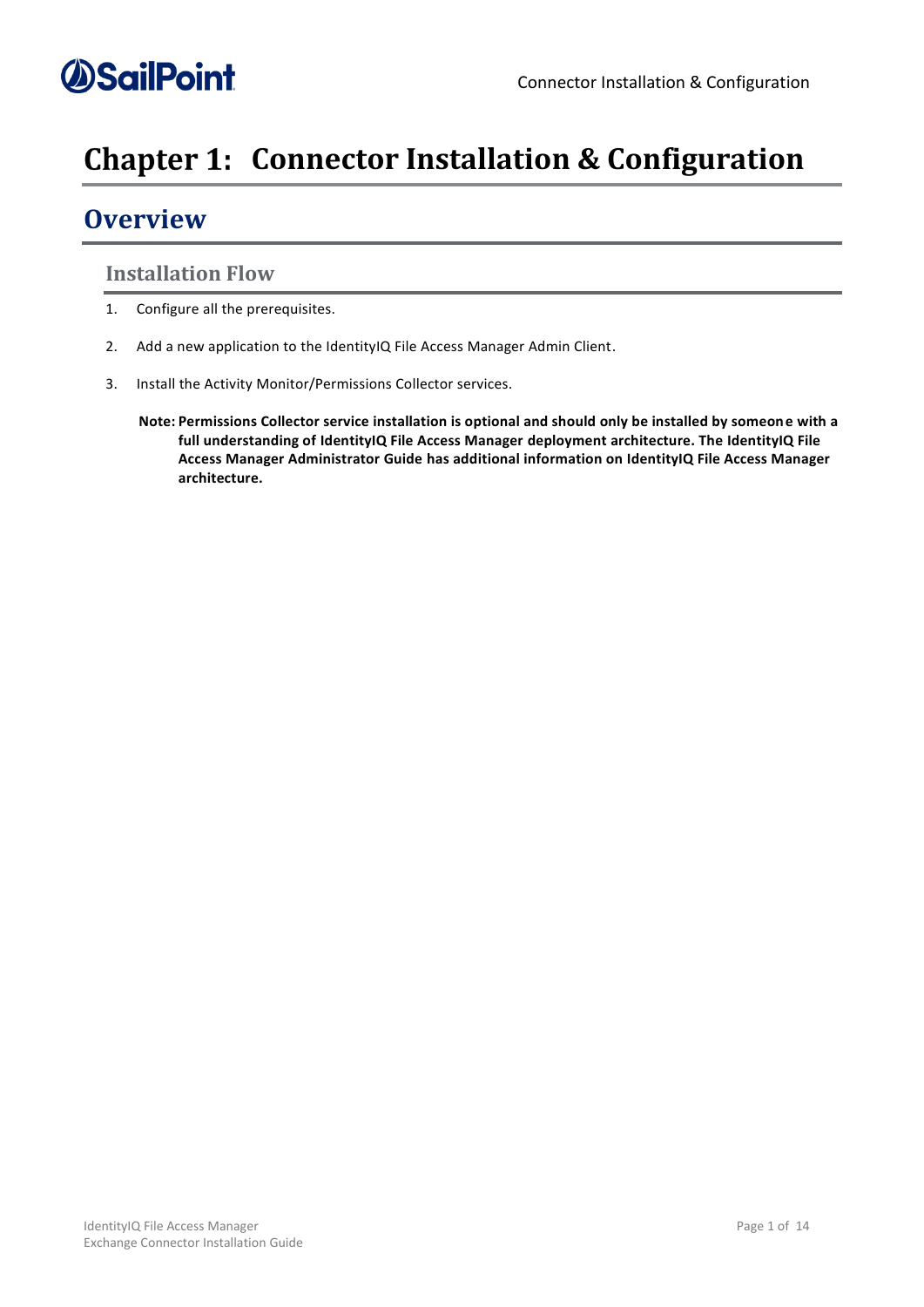### <span id="page-6-0"></span>**Chapter 1: Connector Installation & Configuration**

### <span id="page-6-1"></span>**Overview**

#### <span id="page-6-2"></span>**Installation Flow**

- 1. Configure all the prerequisites.
- 2. Add a new application to the IdentityIQ File Access Manager Admin Client.
- 3. Install the Activity Monitor/Permissions Collector services.
	- **Note: Permissions Collector service installation is optional and should only be installed by someone with a full understanding of IdentityIQ File Access Manager deployment architecture. The IdentityIQ File Access Manager Administrator Guide has additional information on IdentityIQ File Access Manager architecture.**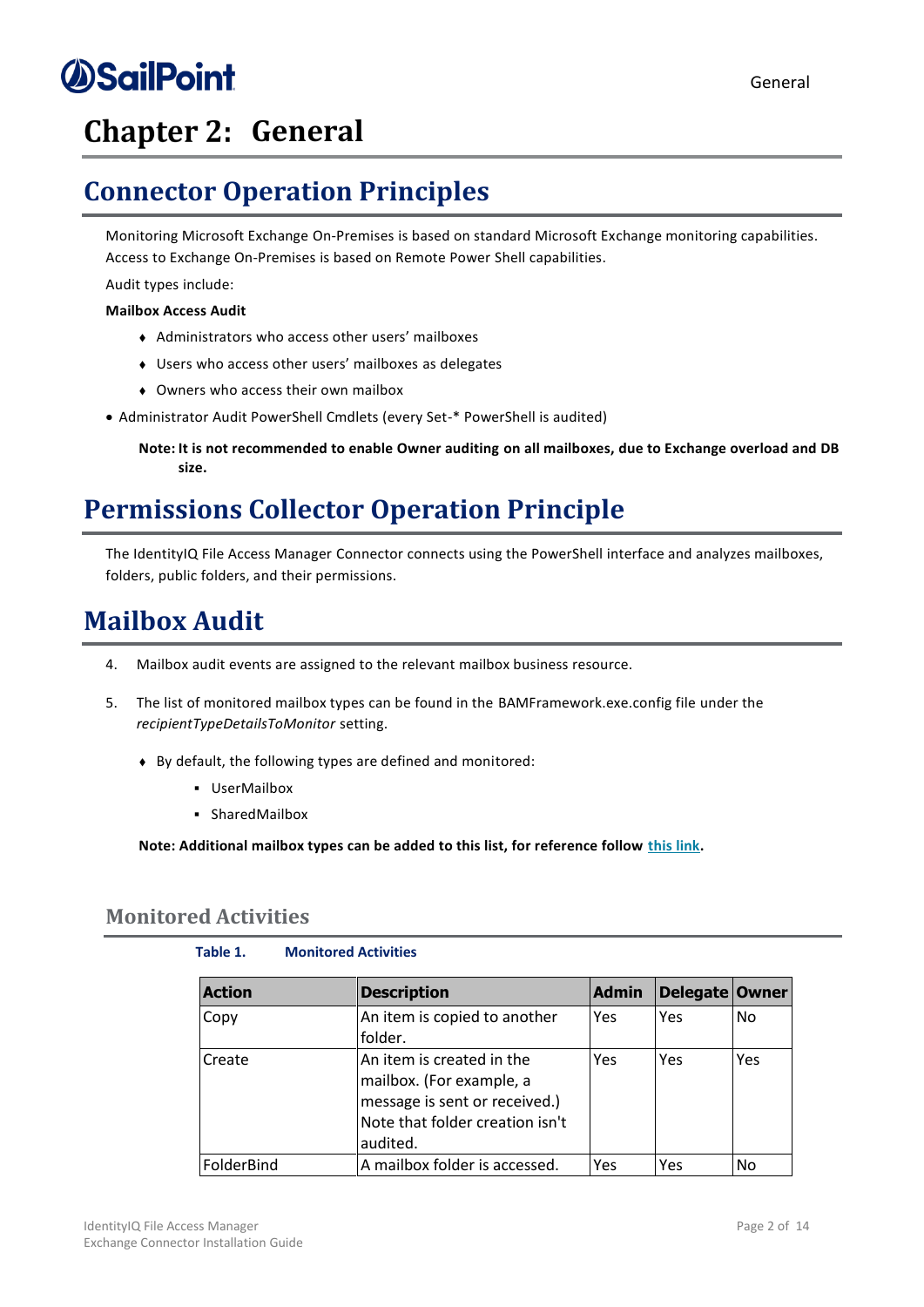### <span id="page-7-0"></span>**Chapter 2: General**

### <span id="page-7-1"></span>**Connector Operation Principles**

Monitoring Microsoft Exchange On-Premises is based on standard Microsoft Exchange monitoring capabilities. Access to Exchange On-Premises is based on Remote Power Shell capabilities.

Audit types include:

#### **Mailbox Access Audit**

- <sup>⧫</sup> Administrators who access other users' mailboxes
- <sup>⧫</sup> Users who access other users' mailboxes as delegates
- ◆ Owners who access their own mailbox
- Administrator Audit PowerShell Cmdlets (every Set-\* PowerShell is audited)

**Note: It is not recommended to enable Owner auditing on all mailboxes, due to Exchange overload and DB size.**

### <span id="page-7-2"></span>**Permissions Collector Operation Principle**

The IdentityIQ File Access Manager Connector connects using the PowerShell interface and analyzes mailboxes, folders, public folders, and their permissions.

### <span id="page-7-3"></span>**Mailbox Audit**

- 4. Mailbox audit events are assigned to the relevant mailbox business resource.
- 5. The list of monitored mailbox types can be found in the BAMFramework.exe.config file under the *recipientTypeDetailsToMonitor* setting.
	- ◆ By default, the following types are defined and monitored:
		- UserMailbox
		- SharedMailbox

**Note: Additional mailbox types can be added to this list, for reference follow [this](https://msdn.microsoft.com/en-us/library/microsoft.exchange.data.directory.recipient.recipienttypedetails(v=exchg.150).aspx) link.**

#### <span id="page-7-5"></span><span id="page-7-4"></span>**Monitored Activities**

#### **Table 1. Monitored Activities**

| <b>Action</b> | <b>Description</b>                                                                                                                    | <b>Admin</b> | Delegate Owner |      |
|---------------|---------------------------------------------------------------------------------------------------------------------------------------|--------------|----------------|------|
| Copy          | An item is copied to another<br>folder.                                                                                               | Yes          | Yes            | l No |
| Create        | An item is created in the<br>mailbox. (For example, a<br>message is sent or received.)<br>Note that folder creation isn't<br>audited. | Yes          | Yes            | Yes  |
| FolderBind    | A mailbox folder is accessed.                                                                                                         | Yes          | Yes            | No   |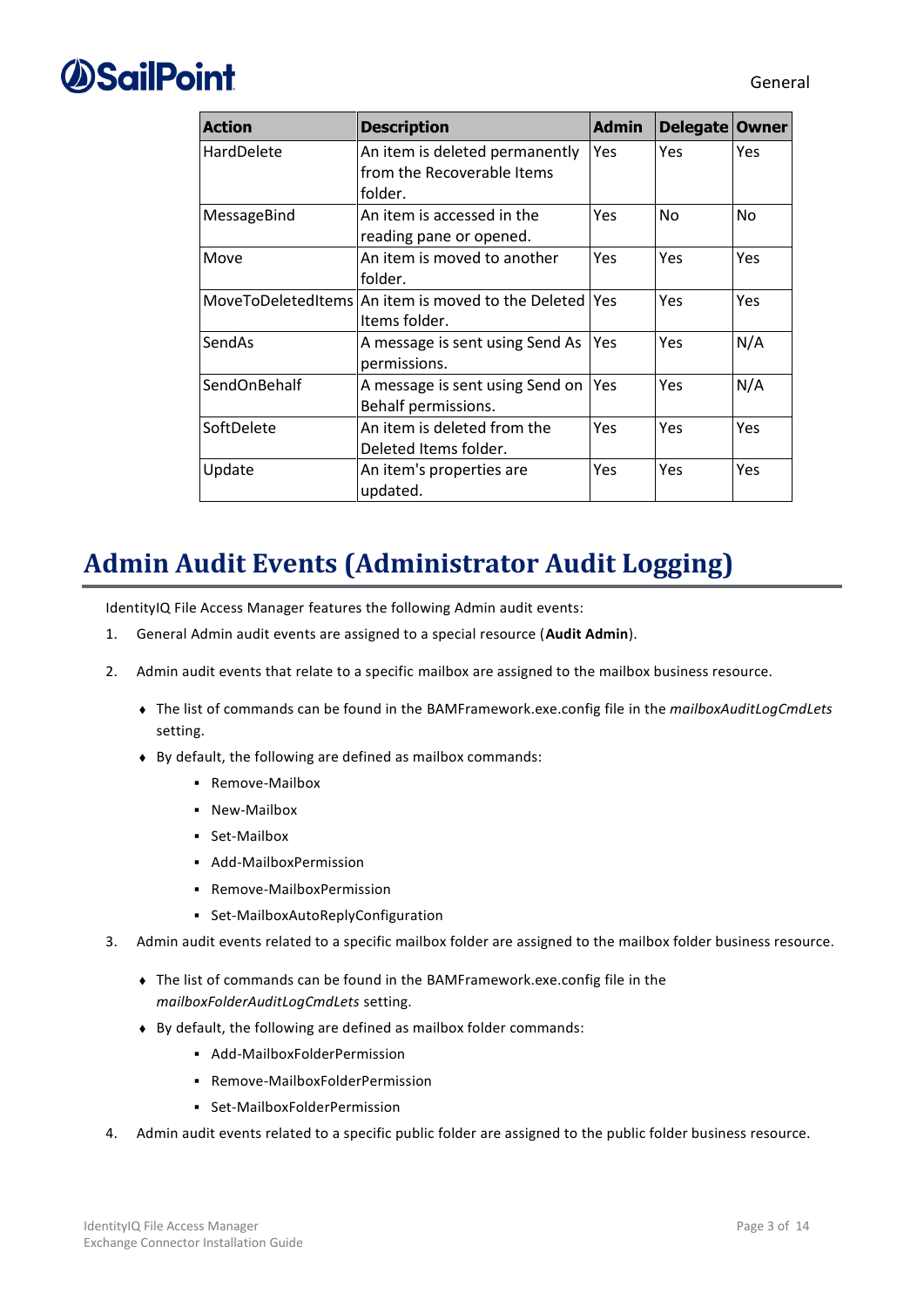| <b>Action</b> | <b>Description</b>                                                      | <b>Admin</b> | Delegate Owner |     |
|---------------|-------------------------------------------------------------------------|--------------|----------------|-----|
| HardDelete    | An item is deleted permanently<br>from the Recoverable Items<br>folder. | <b>Yes</b>   | Yes            | Yes |
| MessageBind   | An item is accessed in the<br>reading pane or opened.                   | Yes          | No             | No  |
| Move          | An item is moved to another<br>folder.                                  | Yes.         | Yes            | Yes |
|               | MoveToDeletedItems An item is moved to the Deleted Yes<br>Items folder. |              | Yes            | Yes |
| SendAs        | A message is sent using Send As<br>permissions.                         | <b>Yes</b>   | Yes            | N/A |
| SendOnBehalf  | A message is sent using Send on<br>Behalf permissions.                  | <b>Yes</b>   | Yes            | N/A |
| SoftDelete    | An item is deleted from the<br>Deleted Items folder.                    | Yes          | Yes            | Yes |
| Update        | An item's properties are<br>updated.                                    | Yes          | Yes            | Yes |

### <span id="page-8-0"></span>**Admin Audit Events (Administrator Audit Logging)**

IdentityIQ File Access Manager features the following Admin audit events:

- 1. General Admin audit events are assigned to a special resource (**Audit Admin**).
- 2. Admin audit events that relate to a specific mailbox are assigned to the mailbox business resource.
	- <sup>⧫</sup> The list of commands can be found in the BAMFramework.exe.config file in the *mailboxAuditLogCmdLets* setting.
	- ◆ By default, the following are defined as mailbox commands:
		- Remove-Mailbox
		- New-Mailbox
		- Set-Mailbox
		- Add-MailboxPermission
		- Remove-MailboxPermission
		- Set-MailboxAutoReplyConfiguration
- 3. Admin audit events related to a specific mailbox folder are assigned to the mailbox folder business resource.
	- ◆ The list of commands can be found in the BAMFramework.exe.config file in the *mailboxFolderAuditLogCmdLets* setting.
	- ◆ By default, the following are defined as mailbox folder commands:
		- Add-MailboxFolderPermission
		- Remove-MailboxFolderPermission
		- Set-MailboxFolderPermission
- 4. Admin audit events related to a specific public folder are assigned to the public folder business resource.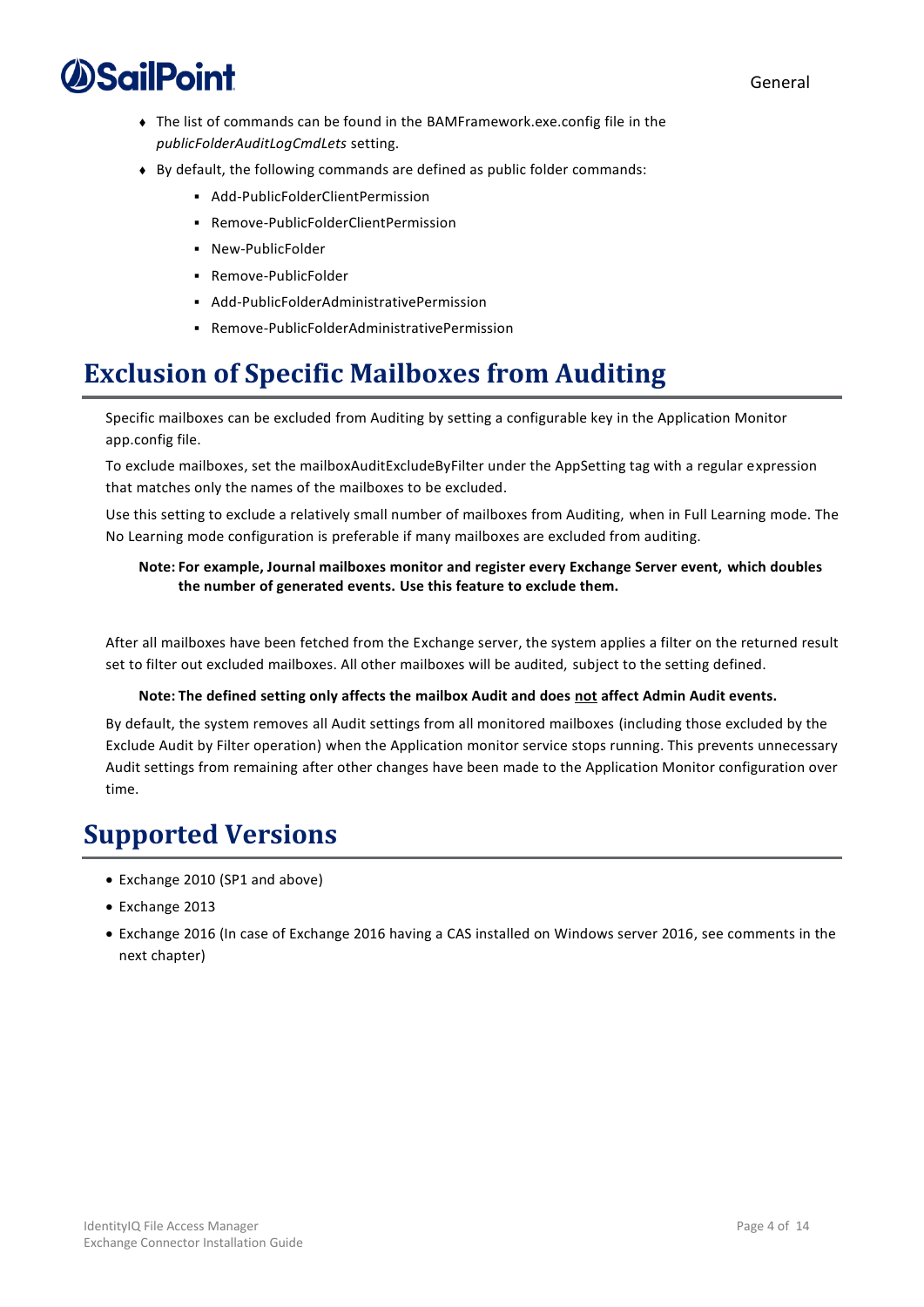

- ◆ The list of commands can be found in the BAMFramework.exe.config file in the *publicFolderAuditLogCmdLets* setting.
- ◆ By default, the following commands are defined as public folder commands:
	- Add-PublicFolderClientPermission
	- Remove-PublicFolderClientPermission
	- New-PublicFolder
	- Remove-PublicFolder
	- Add-PublicFolderAdministrativePermission
	- Remove-PublicFolderAdministrativePermission

### <span id="page-9-0"></span>**Exclusion of Specific Mailboxes from Auditing**

Specific mailboxes can be excluded from Auditing by setting a configurable key in the Application Monitor app.config file.

To exclude mailboxes, set the mailboxAuditExcludeByFilter under the AppSetting tag with a regular expression that matches only the names of the mailboxes to be excluded.

Use this setting to exclude a relatively small number of mailboxes from Auditing, when in Full Learning mode. The No Learning mode configuration is preferable if many mailboxes are excluded from auditing.

#### **Note: For example, Journal mailboxes monitor and register every Exchange Server event, which doubles the number of generated events. Use this feature to exclude them.**

After all mailboxes have been fetched from the Exchange server, the system applies a filter on the returned result set to filter out excluded mailboxes. All other mailboxes will be audited, subject to the setting defined.

#### **Note: The defined setting only affects the mailbox Audit and does not affect Admin Audit events.**

By default, the system removes all Audit settings from all monitored mailboxes (including those excluded by the Exclude Audit by Filter operation) when the Application monitor service stops running. This prevents unnecessary Audit settings from remaining after other changes have been made to the Application Monitor configuration over time.

#### <span id="page-9-1"></span>**Supported Versions**

- Exchange 2010 (SP1 and above)
- Exchange 2013
- Exchange 2016 (In case of Exchange 2016 having a CAS installed on Windows server 2016, see comments in the next chapter)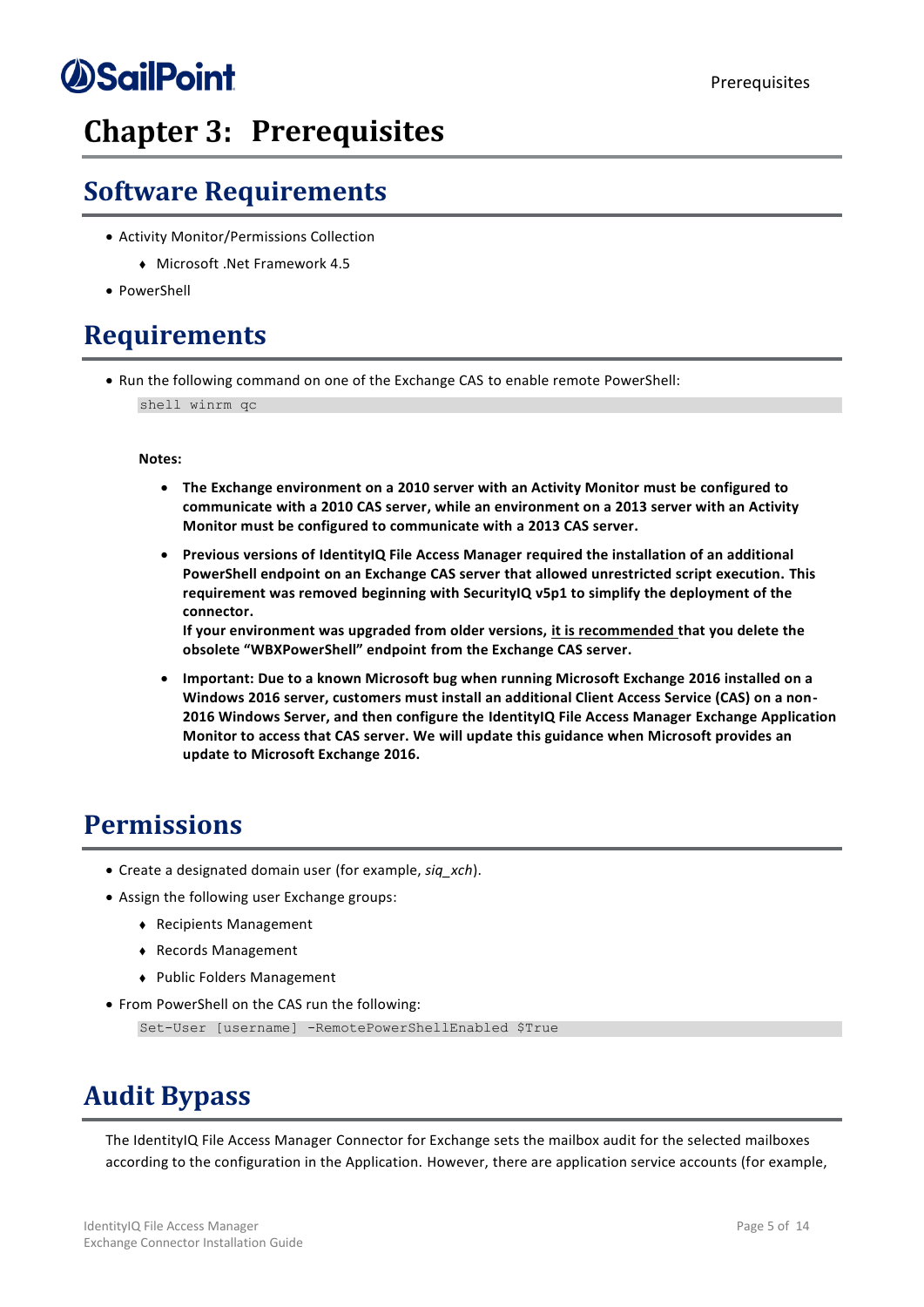### <span id="page-10-0"></span>**Chapter 3: Prerequisites**

### <span id="page-10-1"></span>**Software Requirements**

- Activity Monitor/Permissions Collection
	- <sup>⧫</sup> Microsoft .Net Framework 4.5
- PowerShell

### <span id="page-10-2"></span>**Requirements**

• Run the following command on one of the Exchange CAS to enable remote PowerShell: shell winrm qc

#### **Notes:**

- **The Exchange environment on a 2010 server with an Activity Monitor must be configured to communicate with a 2010 CAS server, while an environment on a 2013 server with an Activity Monitor must be configured to communicate with a 2013 CAS server.**
- **Previous versions of IdentityIQ File Access Manager required the installation of an additional PowerShell endpoint on an Exchange CAS server that allowed unrestricted script execution. This requirement was removed beginning with SecurityIQ v5p1 to simplify the deployment of the connector.**

**If your environment was upgraded from older versions, it is recommended that you delete the obsolete "WBXPowerShell" endpoint from the Exchange CAS server.**

• **Important: Due to a known Microsoft bug when running Microsoft Exchange 2016 installed on a Windows 2016 server, customers must install an additional Client Access Service (CAS) on a non-2016 Windows Server, and then configure the IdentityIQ File Access Manager Exchange Application Monitor to access that CAS server. We will update this guidance when Microsoft provides an update to Microsoft Exchange 2016.**

#### <span id="page-10-3"></span>**Permissions**

- Create a designated domain user (for example, *siq\_xch*).
- Assign the following user Exchange groups:
	- <sup>⧫</sup> Recipients Management
	- <sup>⧫</sup> Records Management
	- <sup>⧫</sup> Public Folders Management
- From PowerShell on the CAS run the following:

Set-User [username] -RemotePowerShellEnabled \$True

### <span id="page-10-4"></span>**Audit Bypass**

The IdentityIQ File Access Manager Connector for Exchange sets the mailbox audit for the selected mailboxes according to the configuration in the Application. However, there are application service accounts (for example,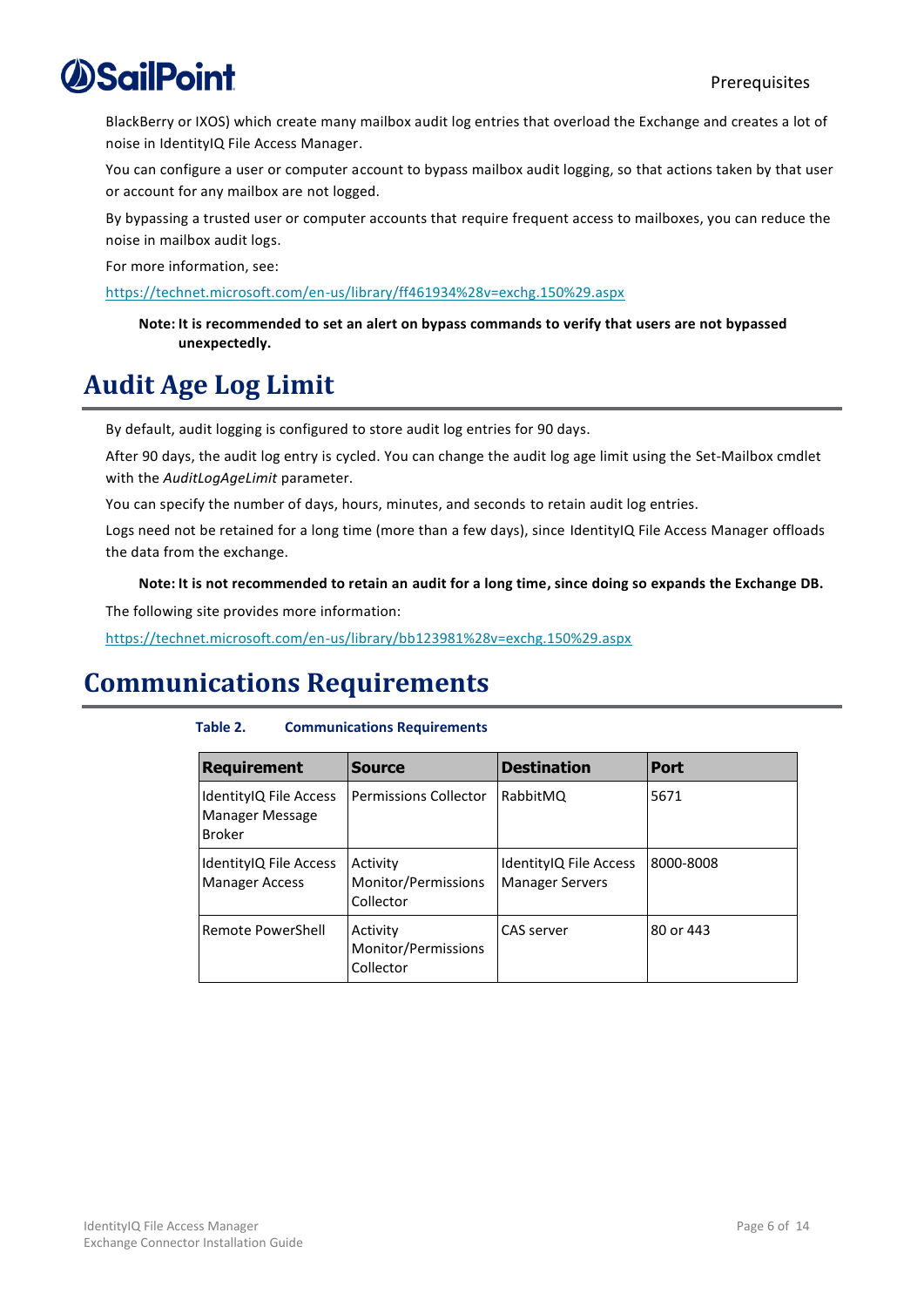BlackBerry or IXOS) which create many mailbox audit log entries that overload the Exchange and creates a lot of noise in IdentityIQ File Access Manager.

You can configure a user or computer account to bypass mailbox audit logging, so that actions taken by that user or account for any mailbox are not logged.

By bypassing a trusted user or computer accounts that require frequent access to mailboxes, you can reduce the noise in mailbox audit logs.

For more information, see:

<https://technet.microsoft.com/en-us/library/ff461934%28v=exchg.150%29.aspx>

**Note: It is recommended to set an alert on bypass commands to verify that users are not bypassed unexpectedly.**

### <span id="page-11-0"></span>**Audit Age Log Limit**

By default, audit logging is configured to store audit log entries for 90 days.

After 90 days, the audit log entry is cycled. You can change the audit log age limit using the Set-Mailbox cmdlet with the *AuditLogAgeLimit* parameter.

You can specify the number of days, hours, minutes, and seconds to retain audit log entries.

Logs need not be retained for a long time (more than a few days), since IdentityIQ File Access Manager offloads the data from the exchange.

**Note: It is not recommended to retain an audit for a long time, since doing so expands the Exchange DB.**

The following site provides more information:

<https://technet.microsoft.com/en-us/library/bb123981%28v=exchg.150%29.aspx>

### <span id="page-11-2"></span><span id="page-11-1"></span>**Communications Requirements**

#### **Table 2. Communications Requirements**

| <b>Requirement</b>                                         | <b>Source</b>                                | <b>Destination</b>                               | <b>Port</b> |
|------------------------------------------------------------|----------------------------------------------|--------------------------------------------------|-------------|
| IdentityIQ File Access<br>Manager Message<br><b>Broker</b> | <b>Permissions Collector</b>                 | RabbitMQ                                         | 5671        |
| IdentityIQ File Access<br><b>Manager Access</b>            | Activity<br>Monitor/Permissions<br>Collector | IdentityIQ File Access<br><b>Manager Servers</b> | 8000-8008   |
| Remote PowerShell                                          | Activity<br>Monitor/Permissions<br>Collector | CAS server                                       | 80 or 443   |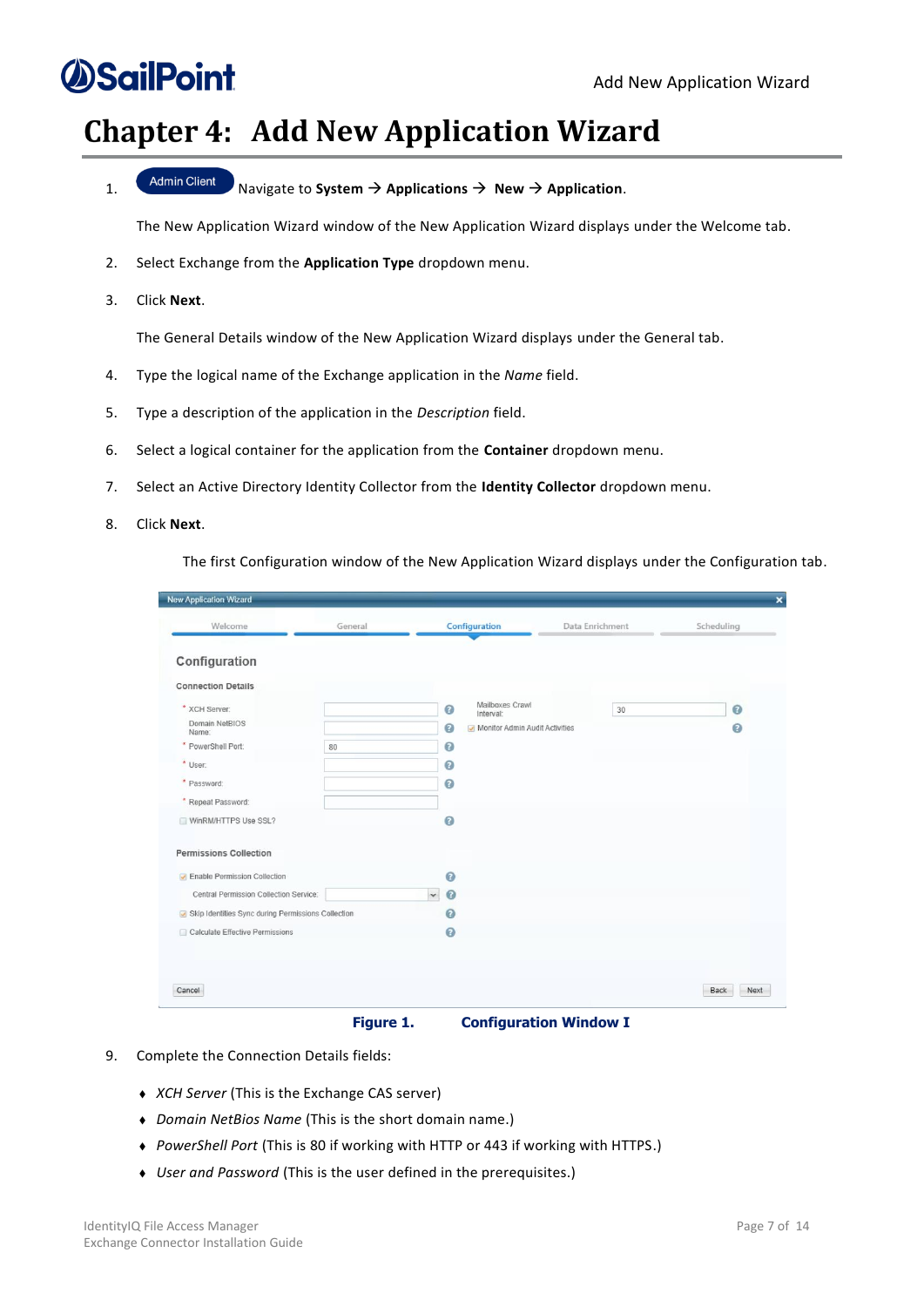## *<u>DSailPoint</u>*

### <span id="page-12-0"></span>**Chapter 4: Add New Application Wizard**

1. Navigate to **System** → **Applications** → **New** → **Application**.

The New Application Wizard window of the New Application Wizard displays under the Welcome tab.

- 2. Select Exchange from the **Application Type** dropdown menu.
- 3. Click **Next**.

The General Details window of the New Application Wizard displays under the General tab.

- 4. Type the logical name of the Exchange application in the *Name* field.
- 5. Type a description of the application in the *Description* field.
- 6. Select a logical container for the application from the **Container** dropdown menu.
- 7. Select an Active Directory Identity Collector from the **Identity Collector** dropdown menu.
- 8. Click **Next**.

The first Configuration window of the New Application Wizard displays under the Configuration tab.

| Welcome                                            | General |                           | Configuration                  | Data Enrichment |    | Scheduling     |
|----------------------------------------------------|---------|---------------------------|--------------------------------|-----------------|----|----------------|
|                                                    |         |                           |                                |                 |    |                |
| Configuration                                      |         |                           |                                |                 |    |                |
| <b>Connection Details</b>                          |         |                           |                                |                 |    |                |
| * XCH Server:                                      |         | $\bullet$                 | Mailboxes Crawl<br>Interval:   |                 | 30 | $\odot$        |
| Domain NetBIOS<br>Name:                            |         | $\bullet$                 | Monitor Admin Audit Activities |                 |    | $\circledcirc$ |
| * PowerShell Port:                                 | 80      | $\circ$                   |                                |                 |    |                |
| * User:                                            |         | 0                         |                                |                 |    |                |
| * Password:                                        |         | $\bullet$                 |                                |                 |    |                |
| * Repeat Password:                                 |         |                           |                                |                 |    |                |
| WinRM/HTTPS Use SSL?                               |         | $\bullet$                 |                                |                 |    |                |
| <b>Permissions Collection</b>                      |         |                           |                                |                 |    |                |
| <b>D</b> Enable Permission Collection              |         | $\circ$                   |                                |                 |    |                |
| Central Permission Collection Service:             |         | $\bullet$<br>$\checkmark$ |                                |                 |    |                |
| Skip Identities Sync during Permissions Collection |         | $\odot$                   |                                |                 |    |                |
| Calculate Effective Permissions                    |         | $\bullet$                 |                                |                 |    |                |
|                                                    |         |                           |                                |                 |    |                |
|                                                    |         |                           |                                |                 |    |                |
| Cancel                                             |         |                           |                                |                 |    | Back<br>Next   |

**Figure 1. Configuration Window I**

- <span id="page-12-1"></span>9. Complete the Connection Details fields:
	- <sup>⧫</sup> *XCH Server* (This is the Exchange CAS server)
	- <sup>⧫</sup> *Domain NetBios Name* (This is the short domain name.)
	- <sup>⧫</sup> *PowerShell Port* (This is 80 if working with HTTP or 443 if working with HTTPS.)
	- <sup>⧫</sup> *User and Password* (This is the user defined in the prerequisites.)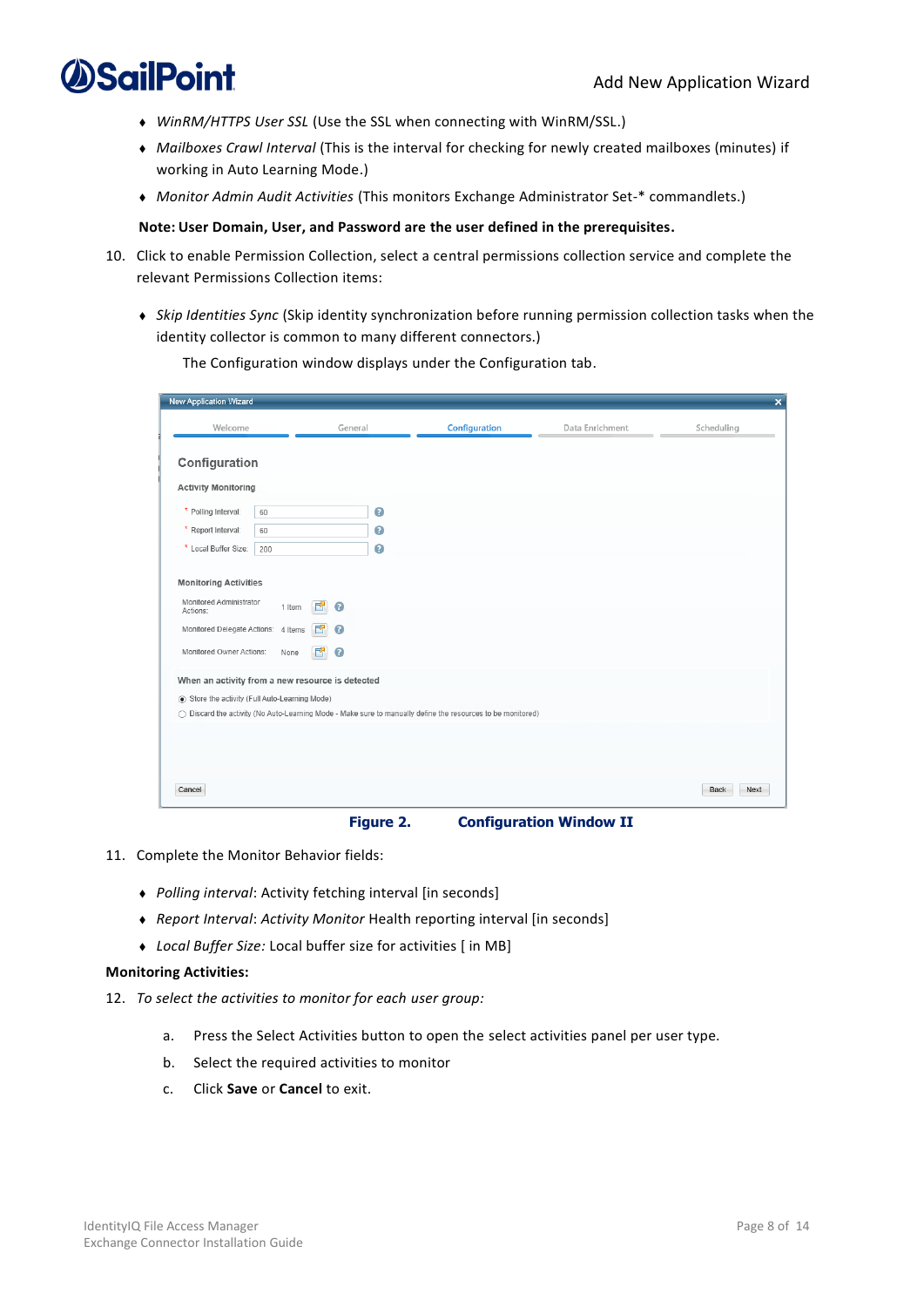- <sup>⧫</sup> *WinRM/HTTPS User SSL* (Use the SSL when connecting with WinRM/SSL.)
- <sup>⧫</sup> *Mailboxes Crawl Interval* (This is the interval for checking for newly created mailboxes (minutes) if working in Auto Learning Mode.)
- <sup>⧫</sup> *Monitor Admin Audit Activities* (This monitors Exchange Administrator Set-\* commandlets.)

#### **Note: User Domain, User, and Password are the user defined in the prerequisites.**

- 10. Click to enable Permission Collection, select a central permissions collection service and complete the relevant Permissions Collection items:
	- <sup>⧫</sup> *Skip Identities Sync* (Skip identity synchronization before running permission collection tasks when the identity collector is common to many different connectors.)

| <b>New Application Wizard</b>                                                                                                                                                                                                              |                |                                  |           |                                                                                                             |                 | $\pmb{\times}$ |
|--------------------------------------------------------------------------------------------------------------------------------------------------------------------------------------------------------------------------------------------|----------------|----------------------------------|-----------|-------------------------------------------------------------------------------------------------------------|-----------------|----------------|
| Welcome                                                                                                                                                                                                                                    |                | General                          |           | Configuration                                                                                               | Data Enrichment | Scheduling     |
| Configuration                                                                                                                                                                                                                              |                |                                  |           |                                                                                                             |                 |                |
| <b>Activity Monitoring</b>                                                                                                                                                                                                                 |                |                                  |           |                                                                                                             |                 |                |
| * Polling Interval:                                                                                                                                                                                                                        | 60             |                                  | $\bullet$ |                                                                                                             |                 |                |
| * Report Interval:                                                                                                                                                                                                                         | 60             |                                  | $\bullet$ |                                                                                                             |                 |                |
| * Local Buffer Size:                                                                                                                                                                                                                       | 200            |                                  | $\bullet$ |                                                                                                             |                 |                |
| <b>Monitoring Activities</b><br>Monitored Administrator<br>Actions:<br>Monitored Delegate Actions: 4 Items<br>Monitored Owner Actions:<br>When an activity from a new resource is detected<br>Store the activity (Full Auto-Learning Mode) | 1 Item<br>None | 內<br>$\bullet$<br>ø<br>$\bullet$ |           | ○ Discard the activity (No Auto-Learning Mode - Make sure to manually define the resources to be monitored) |                 |                |
| Cancel                                                                                                                                                                                                                                     |                |                                  |           |                                                                                                             |                 | Back<br>Next   |

The Configuration window displays under the Configuration tab.

**Figure 2. Configuration Window II**

- <span id="page-13-0"></span>11. Complete the Monitor Behavior fields:
	- <sup>⧫</sup> *Polling interval*: Activity fetching interval [in seconds]
	- <sup>⧫</sup> *Report Interval*: *Activity Monitor* Health reporting interval [in seconds]
	- <sup>⧫</sup> *Local Buffer Size:* Local buffer size for activities [ in MB]

#### **Monitoring Activities:**

- 12. *To select the activities to monitor for each user group:*
	- a. Press the Select Activities button to open the select activities panel per user type.
	- b. Select the required activities to monitor
	- c. Click **Save** or **Cancel** to exit.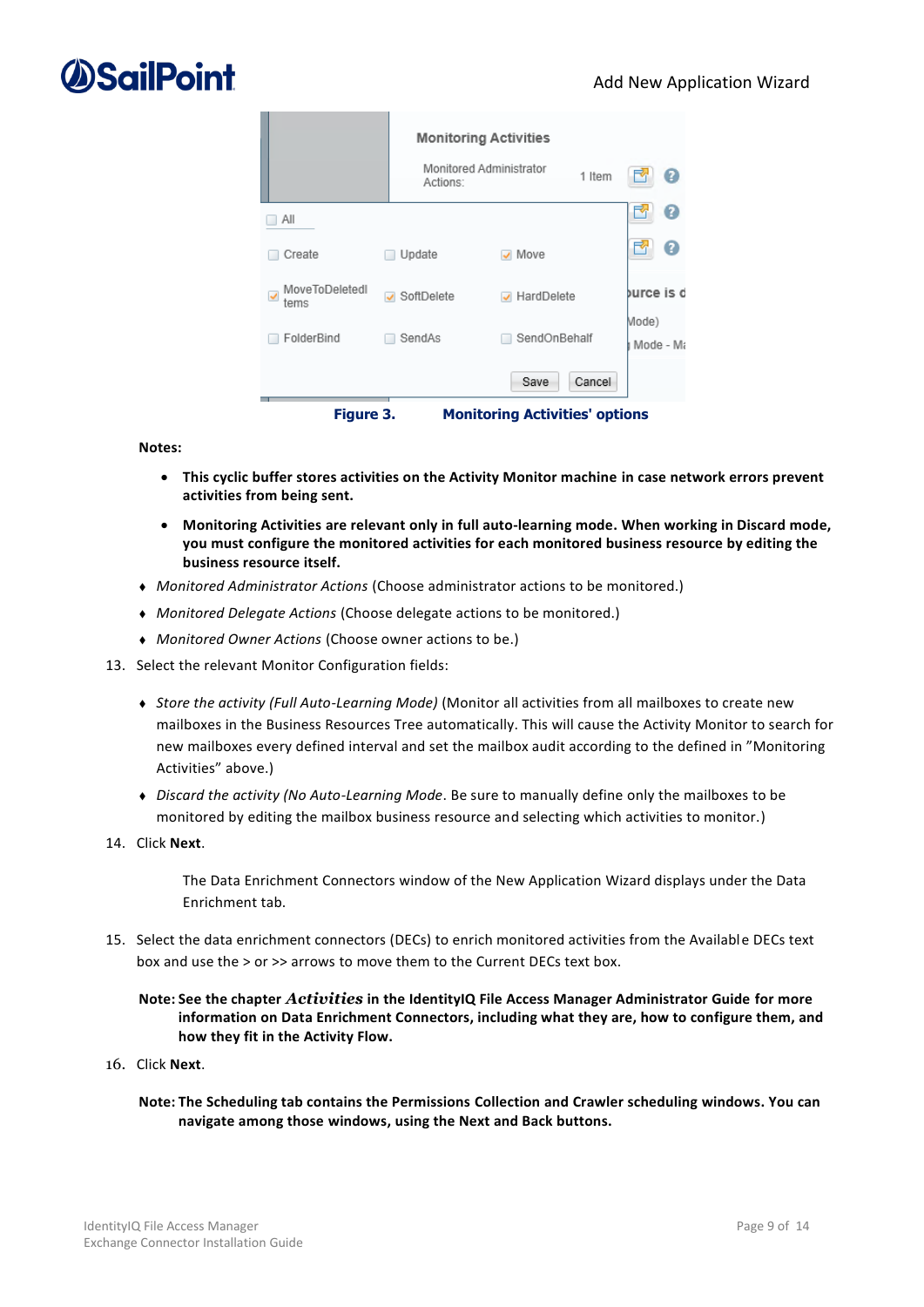|                                                   |                                        | <b>Monitoring Activities</b>          |                    |  |  |  |  |
|---------------------------------------------------|----------------------------------------|---------------------------------------|--------------------|--|--|--|--|
|                                                   | Monitored Administrator<br>Actions:    | 1 Item                                | Ø                  |  |  |  |  |
| Αll                                               |                                        |                                       | 7                  |  |  |  |  |
| Create                                            | Update                                 | Move                                  | ♦                  |  |  |  |  |
| MoveToDeletedl<br>$\overline{\mathbf{v}}$<br>tems | SoftDelete<br>$\overline{\mathcal{L}}$ | HardDelete                            | burce is c         |  |  |  |  |
| FolderBind                                        | SendAs                                 | SendOnBehalf                          | Mode)<br>Mode - Ma |  |  |  |  |
|                                                   |                                        | Cancel<br>Save                        |                    |  |  |  |  |
| Figure 3.                                         |                                        | <b>Monitoring Activities' options</b> |                    |  |  |  |  |

<span id="page-14-0"></span>**Notes:**

- **This cyclic buffer stores activities on the Activity Monitor machine in case network errors prevent activities from being sent.**
- **Monitoring Activities are relevant only in full auto-learning mode. When working in Discard mode, you must configure the monitored activities for each monitored business resource by editing the business resource itself.**
- <sup>⧫</sup> *Monitored Administrator Actions* (Choose administrator actions to be monitored.)
- <sup>⧫</sup> *Monitored Delegate Actions* (Choose delegate actions to be monitored.)
- <sup>⧫</sup> *Monitored Owner Actions* (Choose owner actions to be.)
- 13. Select the relevant Monitor Configuration fields:

Ė

- <sup>⧫</sup> *Store the activity (Full Auto-Learning Mode)* (Monitor all activities from all mailboxes to create new mailboxes in the Business Resources Tree automatically. This will cause the Activity Monitor to search for new mailboxes every defined interval and set the mailbox audit according to the defined in "Monitoring Activities" above.)
- <sup>⧫</sup> *Discard the activity (No Auto-Learning Mode*. Be sure to manually define only the mailboxes to be monitored by editing the mailbox business resource and selecting which activities to monitor.)
- 14. Click **Next**.

The Data Enrichment Connectors window of the New Application Wizard displays under the Data Enrichment tab.

15. Select the data enrichment connectors (DECs) to enrich monitored activities from the Available DECs text box and use the > or >> arrows to move them to the Current DECs text box.

#### **Note: See the chapter** *Activities* **in the IdentityIQ File Access Manager Administrator Guide for more information on Data Enrichment Connectors, including what they are, how to configure them, and how they fit in the Activity Flow.**

- 16. Click **Next**.
	- **Note: The Scheduling tab contains the Permissions Collection and Crawler scheduling windows. You can navigate among those windows, using the Next and Back buttons.**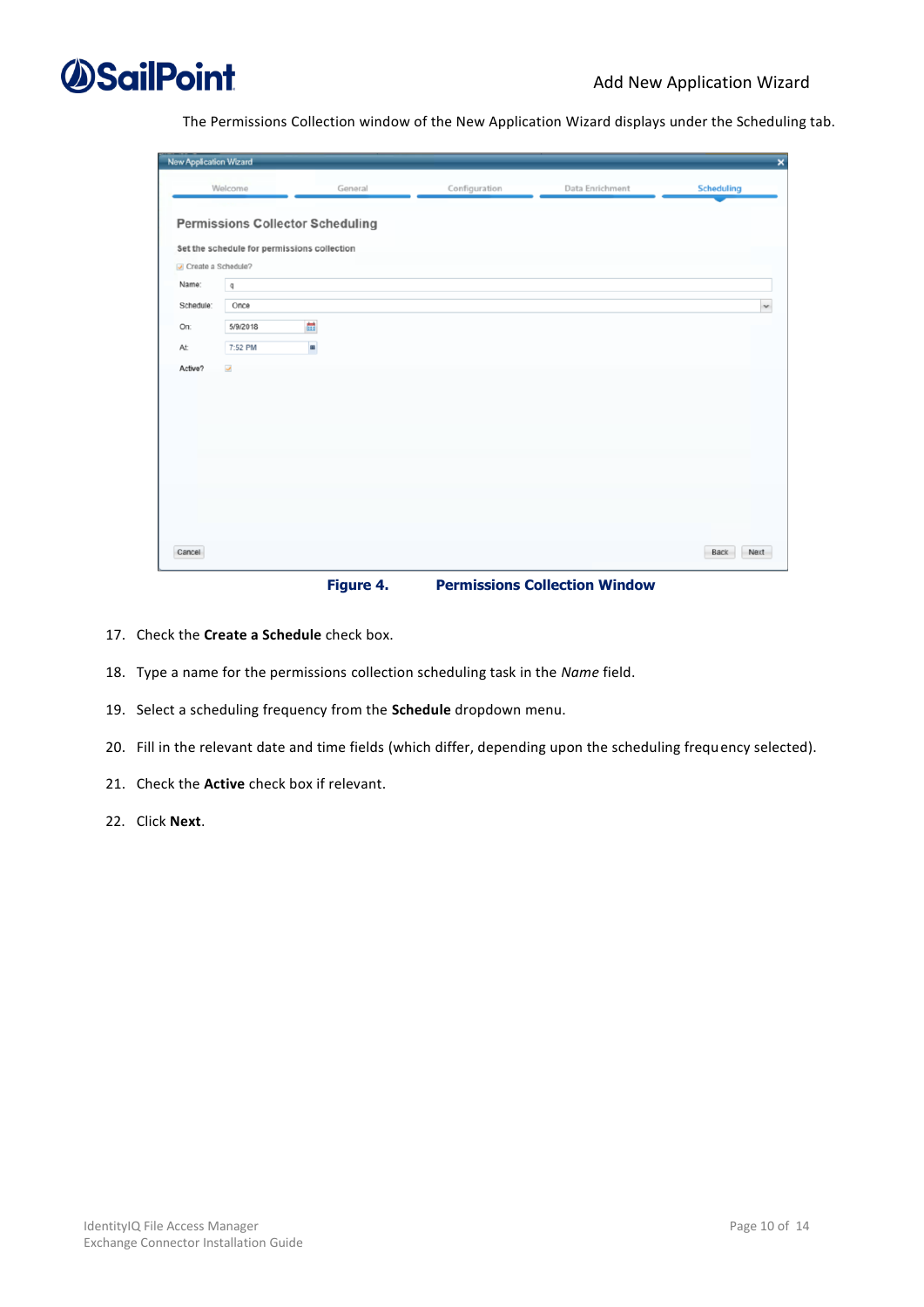

The Permissions Collection window of the New Application Wizard displays under the Scheduling tab.

| <b>New Application Wizard</b>                   |                                 |                                                                                             |               |                 | ×                 |
|-------------------------------------------------|---------------------------------|---------------------------------------------------------------------------------------------|---------------|-----------------|-------------------|
|                                                 | Welcome                         | General                                                                                     | Configuration | Data Enrichment | <b>Scheduling</b> |
| Create a Schedule?<br>Name:<br>Schedule:<br>On: | $\mathsf q$<br>Once<br>5/9/2018 | <b>Permissions Collector Scheduling</b><br>Set the schedule for permissions collection<br>ä |               |                 | $\checkmark$      |
| At                                              | 7:52 PM                         | ×                                                                                           |               |                 |                   |
| Active?                                         | $\overline{\mathcal{L}}$        |                                                                                             |               |                 |                   |
| Cancel                                          |                                 |                                                                                             |               |                 | Back<br>Next      |

**Figure 4. Permissions Collection Window**

- <span id="page-15-0"></span>17. Check the **Create a Schedule** check box.
- 18. Type a name for the permissions collection scheduling task in the *Name* field.
- 19. Select a scheduling frequency from the **Schedule** dropdown menu.
- 20. Fill in the relevant date and time fields (which differ, depending upon the scheduling frequency selected).
- 21. Check the **Active** check box if relevant.
- 22. Click **Next**.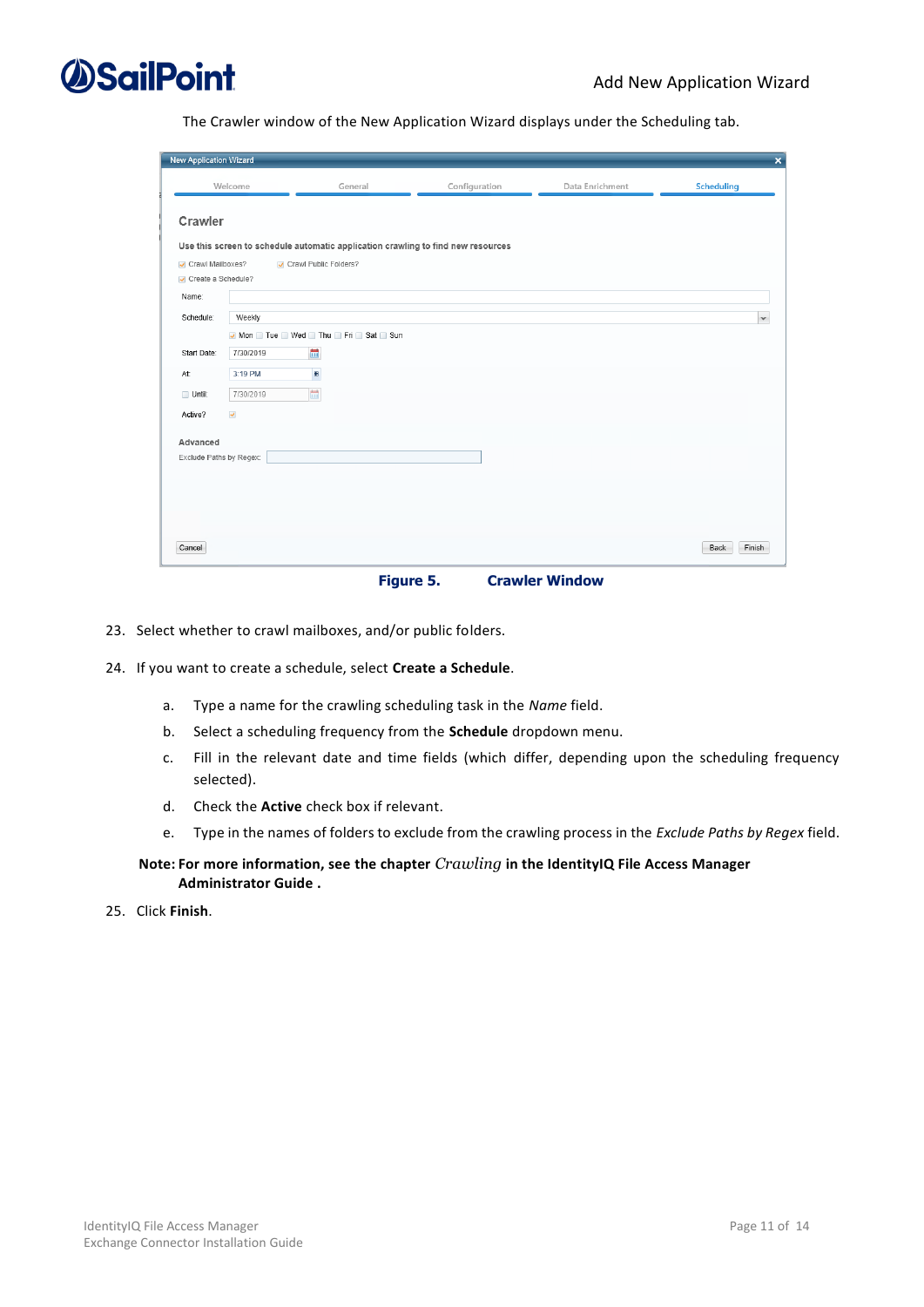

The Crawler window of the New Application Wizard displays under the Scheduling tab.

| <b>New Application Wizard</b>          |              |                                                                                  |               |                 | $\overline{\mathsf{x}}$ |
|----------------------------------------|--------------|----------------------------------------------------------------------------------|---------------|-----------------|-------------------------|
|                                        | Welcome      | General                                                                          | Configuration | Data Enrichment | Scheduling              |
| Crawler                                |              |                                                                                  |               |                 |                         |
|                                        |              | Use this screen to schedule automatic application crawling to find new resources |               |                 |                         |
| Crawl Mailboxes?<br>Create a Schedule? |              | Crawl Public Folders?                                                            |               |                 |                         |
| Name:                                  |              |                                                                                  |               |                 |                         |
| Schedule:                              | Weekly       |                                                                                  |               |                 | $\checkmark$            |
|                                        |              | Mon Tue Wed Thu Fri Sat Sun                                                      |               |                 |                         |
| Start Date:                            | 7/30/2019    | 體                                                                                |               |                 |                         |
| At:                                    | 3:19 PM      | $\blacksquare$                                                                   |               |                 |                         |
| Until:                                 | 7/30/2019    | the limit                                                                        |               |                 |                         |
| Active?                                | $\checkmark$ |                                                                                  |               |                 |                         |
| Advanced                               |              |                                                                                  |               |                 |                         |
| Exclude Paths by Regex:                |              |                                                                                  |               |                 |                         |
|                                        |              |                                                                                  |               |                 |                         |
|                                        |              |                                                                                  |               |                 |                         |
|                                        |              |                                                                                  |               |                 |                         |
|                                        |              |                                                                                  |               |                 |                         |
| Cancel                                 |              |                                                                                  |               |                 | Finish<br>Back          |
|                                        |              |                                                                                  |               |                 |                         |

**Figure 5. Crawler Window**

- <span id="page-16-0"></span>23. Select whether to crawl mailboxes, and/or public folders.
- 24. If you want to create a schedule, select **Create a Schedule**.
	- a. Type a name for the crawling scheduling task in the *Name* field.
	- b. Select a scheduling frequency from the **Schedule** dropdown menu.
	- c. Fill in the relevant date and time fields (which differ, depending upon the scheduling frequency selected).
	- d. Check the **Active** check box if relevant.
	- e. Type in the names of folders to exclude from the crawling process in the *Exclude Paths by Regex* field.

#### **Note: For more information, see the chapter** *Crawling* **in the IdentityIQ File Access Manager Administrator Guide .**

25. Click **Finish**.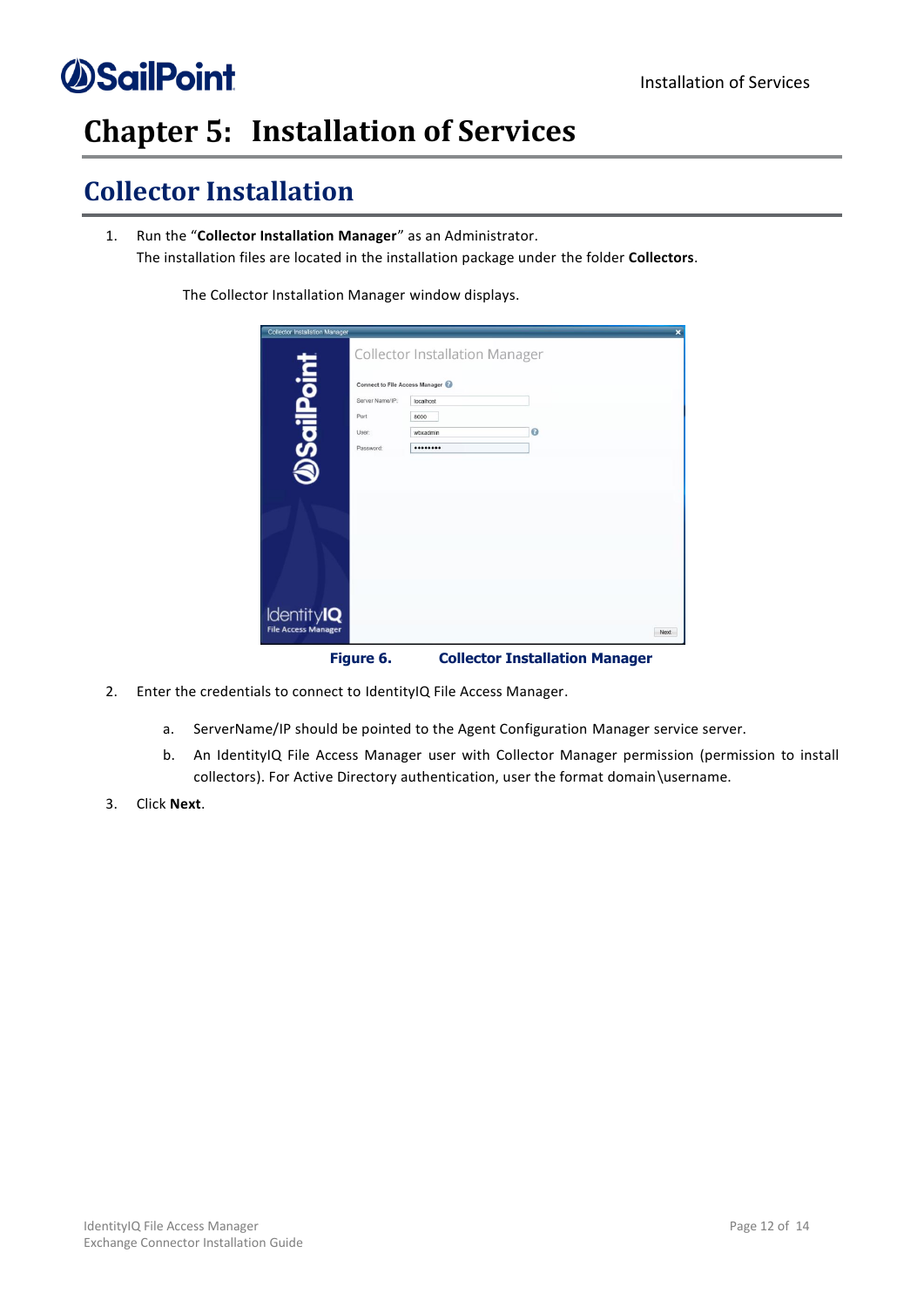## <span id="page-17-0"></span>**Chapter 5: Installation of Services**

### <span id="page-17-1"></span>**Collector Installation**

1. Run the "**Collector Installation Manager**" as an Administrator. The installation files are located in the installation package under the folder **Collectors**.

The Collector Installation Manager window displays.

| <b>Collector Installation Manager</b>           |                                                                                        | <b>Collector Installation Manager</b> |                                       | $\overline{\mathbf{x}}$ |
|-------------------------------------------------|----------------------------------------------------------------------------------------|---------------------------------------|---------------------------------------|-------------------------|
| DSailPoint                                      | <b>Connect to File Access Manager</b><br>Server Name/IP:<br>Port<br>User:<br>Password: | localhost<br>8000<br>wbxadmin<br>     | $\bullet$                             |                         |
| <b>IdentityIQ</b><br><b>File Access Manager</b> |                                                                                        |                                       |                                       | Next                    |
|                                                 | Figure 6.                                                                              |                                       | <b>Collector Installation Manager</b> |                         |

- <span id="page-17-2"></span>2. Enter the credentials to connect to IdentityIQ File Access Manager.
	- a. ServerName/IP should be pointed to the Agent Configuration Manager service server.
	- b. An IdentityIQ File Access Manager user with Collector Manager permission (permission to install collectors). For Active Directory authentication, user the format domain\username.
- 3. Click **Next**.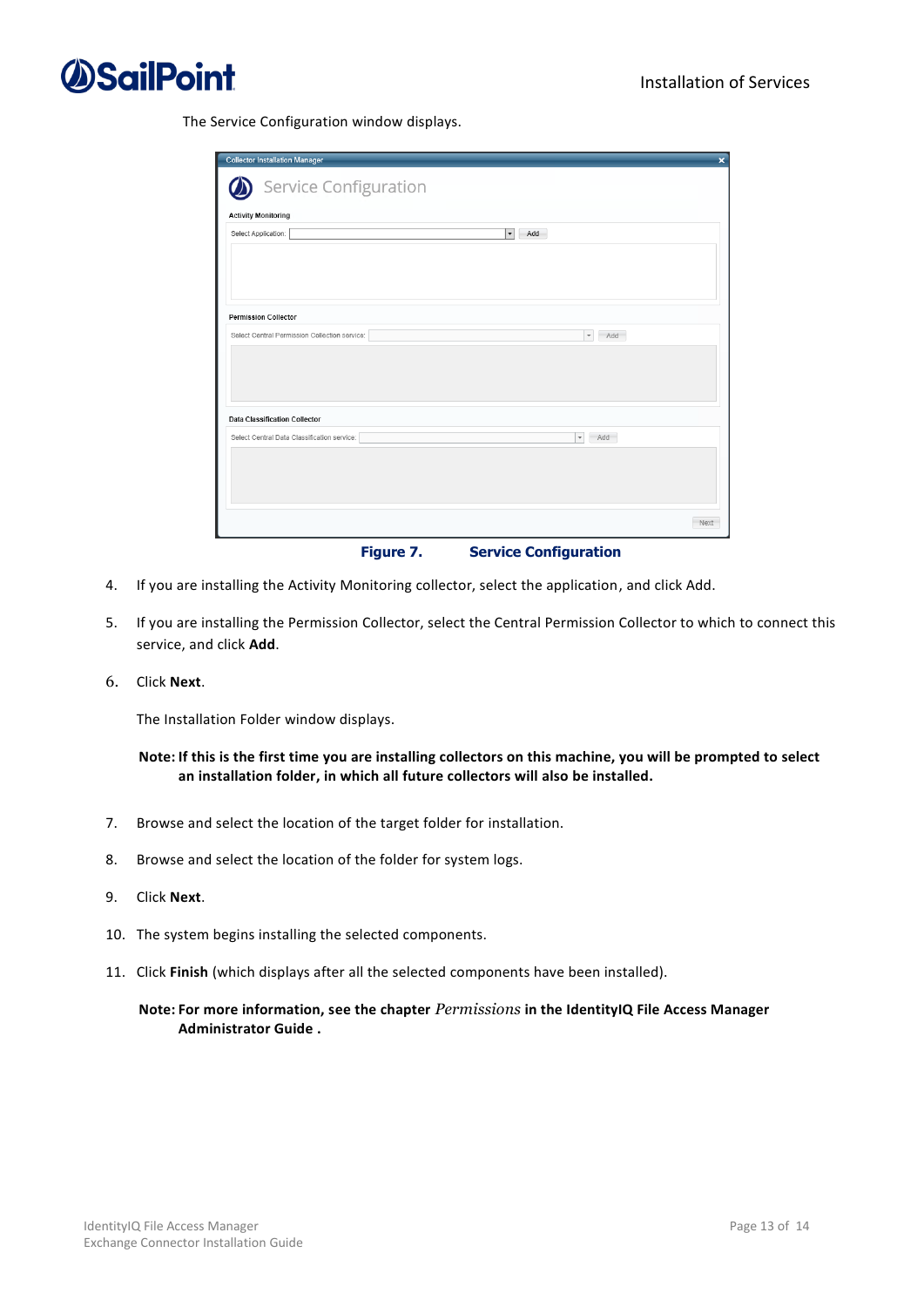

The Service Configuration window displays.

| <b>Collector Installation Manager</b>         | $\overline{\mathbf{x}}$                                                      |
|-----------------------------------------------|------------------------------------------------------------------------------|
| Service Configuration                         |                                                                              |
| <b>Activity Monitoring</b>                    |                                                                              |
| Select Application:                           | $\blacktriangledown$<br>Add                                                  |
|                                               |                                                                              |
|                                               |                                                                              |
|                                               |                                                                              |
|                                               |                                                                              |
| <b>Permission Collector</b>                   |                                                                              |
| Select Central Permission Collection service: | $\overline{\phantom{a}}$<br>Add                                              |
|                                               |                                                                              |
|                                               |                                                                              |
|                                               |                                                                              |
| <b>Data Classification Collector</b>          |                                                                              |
| Select Central Data Classification service:   | Add<br>$\hspace{0.1mm}\raisebox{-0.2mm}{\text{\circle*{1.5}}}\hspace{0.1mm}$ |
|                                               |                                                                              |
|                                               |                                                                              |
|                                               |                                                                              |
|                                               |                                                                              |
|                                               | Next                                                                         |
|                                               |                                                                              |

**Figure 7. Service Configuration** 

- <span id="page-18-0"></span>4. If you are installing the Activity Monitoring collector, select the application, and click Add.
- 5. If you are installing the Permission Collector, select the Central Permission Collector to which to connect this service, and click **Add**.
- 6. Click **Next**.

The Installation Folder window displays.

**Note: If this is the first time you are installing collectors on this machine, you will be prompted to select an installation folder, in which all future collectors will also be installed.**

- 7. Browse and select the location of the target folder for installation.
- 8. Browse and select the location of the folder for system logs.
- 9. Click **Next**.
- 10. The system begins installing the selected components.
- 11. Click **Finish** (which displays after all the selected components have been installed).

#### **Note: For more information, see the chapter** *Permissions* **in the IdentityIQ File Access Manager Administrator Guide .**